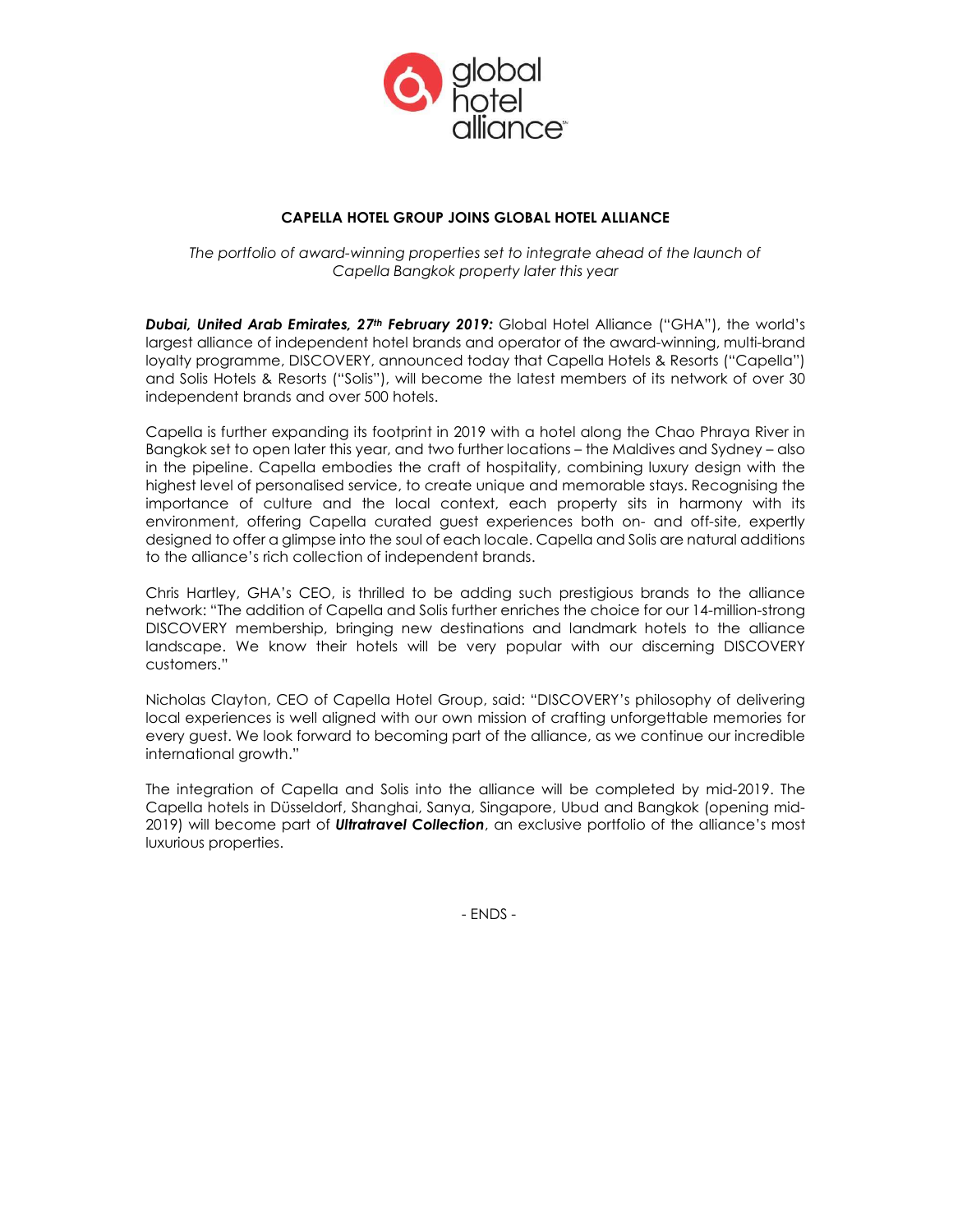

# CAPELLA HOTEL GROUP JOINS GLOBAL HOTEL ALLIANCE

The portfolio of award-winning properties set to integrate ahead of the launch of Capella Bangkok property later this year

Dubai, United Arab Emirates, 27<sup>th</sup> February 2019: Global Hotel Alliance ("GHA"), the world's largest alliance of independent hotel brands and operator of the award-winning, multi-brand loyalty programme, DISCOVERY, announced today that Capella Hotels & Resorts ("Capella") and Solis Hotels & Resorts ("Solis"), will become the latest members of its network of over 30 independent brands and over 500 hotels.

Capella is further expanding its footprint in 2019 with a hotel along the Chao Phraya River in Bangkok set to open later this year, and two further locations – the Maldives and Sydney – also in the pipeline. Capella embodies the craft of hospitality, combining luxury design with the highest level of personalised service, to create unique and memorable stays. Recognising the importance of culture and the local context, each property sits in harmony with its environment, offering Capella curated guest experiences both on- and off-site, expertly designed to offer a glimpse into the soul of each locale. Capella and Solis are natural additions to the alliance's rich collection of independent brands.

Chris Hartley, GHA's CEO, is thrilled to be adding such prestigious brands to the alliance network: "The addition of Capella and Solis further enriches the choice for our 14-million-strong DISCOVERY membership, bringing new destinations and landmark hotels to the alliance landscape. We know their hotels will be very popular with our discerning DISCOVERY customers."

Nicholas Clayton, CEO of Capella Hotel Group, said: "DISCOVERY's philosophy of delivering local experiences is well aligned with our own mission of crafting unforgettable memories for every guest. We look forward to becoming part of the alliance, as we continue our incredible international growth."

The integration of Capella and Solis into the alliance will be completed by mid-2019. The Capella hotels in Düsseldorf, Shanghai, Sanya, Singapore, Ubud and Bangkok (opening mid-2019) will become part of **Ultratravel Collection**, an exclusive portfolio of the alliance's most luxurious properties.

- ENDS -